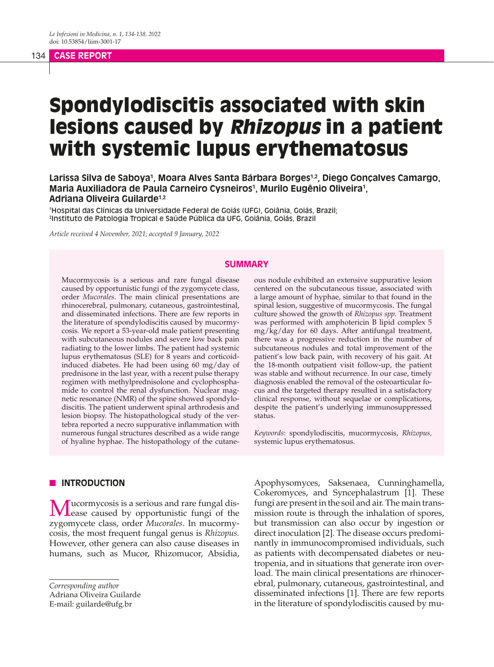#### 134 **CASE REPORT**

# Spondylodiscitis associated with skin lesions caused by Rhizopus in a patient with systemic lupus erythematosus

**Larissa Silva de Saboya1 , Moara Alves Santa Bárbara Borges1,2, Diego Gonçalves Camargo, Maria Auxiliadora de Paula Carneiro Cysneiros1 , Murilo Eugênio Oliveira1 , Adriana Oliveira Guilarde1,2**

1 Hospital das Clínicas da Universidade Federal de Goiás (UFG), Goiânia, Goiás, Brazil; 2 Instituto de Patologia Tropical e Saúde Pública da UFG, Goiânia, Goiás, Brazil

*Article received 4 November, 2021; accepted 9 January, 2022*

## **SUMMARY**

Mucormycosis is a serious and rare fungal disease caused by opportunistic fungi of the zygomycete class, order *Mucorales*. The main clinical presentations are rhinocerebral, pulmonary, cutaneous, gastrointestinal, and disseminated infections. There are few reports in the literature of spondylodiscitis caused by mucormycosis. We report a 53-year-old male patient presenting with subcutaneous nodules and severe low back pain radiating to the lower limbs. The patient had systemic lupus erythematosus (SLE) for 8 years and corticoidinduced diabetes. He had been using 60 mg/day of prednisone in the last year, with a recent pulse therapy regimen with methylprednisolone and cyclophosphamide to control the renal dysfunction. Nuclear magnetic resonance (NMR) of the spine showed spondylodiscitis. The patient underwent spinal arthrodesis and lesion biopsy. The histopathological study of the vertebra reported a necro suppurative inflammation with numerous fungal structures described as a wide range of hyaline hyphae. The histopathology of the cutaneous nodule exhibited an extensive suppurative lesion centered on the subcutaneous tissue, associated with a large amount of hyphae, similar to that found in the spinal lesion, suggestive of mucormycosis. The fungal culture showed the growth of *Rhizopus spp.* Treatment was performed with amphotericin B lipid complex 5 mg/kg/day for 60 days. After antifungal treatment, there was a progressive reduction in the number of subcutaneous nodules and total improvement of the patient's low back pain, with recovery of his gait. At the 18-month outpatient visit follow-up, the patient was stable and without recurrence. In our case, timely diagnosis enabled the removal of the osteoarticular focus and the targeted therapy resulted in a satisfactory clinical response, without sequelae or complications, despite the patient's underlying immunosuppressed status.

*Keywords*: spondylodiscitis, mucormycosis, *Rhizopus,* systemic lupus erythematosus.

## **N INTRODUCTION**

Mucormycosis is a serious and rare fungal dis-ease caused by opportunistic fungi of the zygomycete class, order *Mucorales*. In mucormycosis, the most frequent fungal genus is *Rhizopus.*  However, other genera can also cause diseases in humans, such as Mucor, Rhizomucor, Absidia,

*Corresponding author* Adriana Oliveira Guilarde E-mail: guilarde@ufg.br

Apophysomyces, Saksenaea, Cunninghamella, Cokeromyces, and Syncephalastrum [1]. These fungi are present in the soil and air. The main transmission route is through the inhalation of spores, but transmission can also occur by ingestion or direct inoculation [2]. The disease occurs predominantly in immunocompromised individuals, such as patients with decompensated diabetes or neutropenia, and in situations that generate iron overload. The main clinical presentations are rhinocerebral, pulmonary, cutaneous, gastrointestinal, and disseminated infections [1]. There are few reports in the literature of spondylodiscitis caused by mu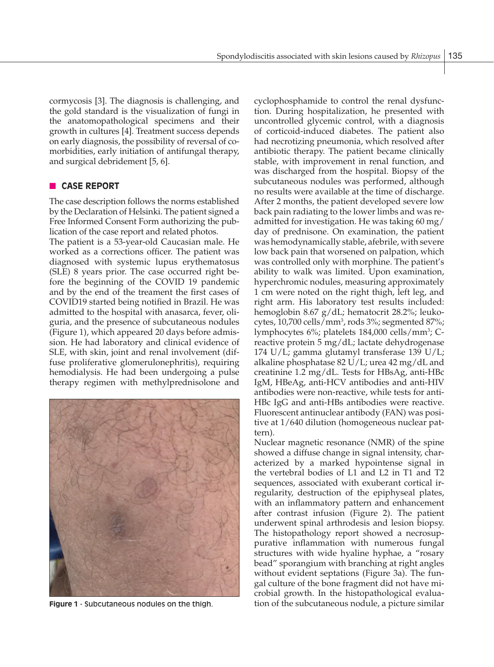cormycosis [3]. The diagnosis is challenging, and the gold standard is the visualization of fungi in the anatomopathological specimens and their growth in cultures [4]. Treatment success depends on early diagnosis, the possibility of reversal of comorbidities, early initiation of antifungal therapy, and surgical debridement [5, 6].

## **CASE REPORT**

The case description follows the norms established by the Declaration of Helsinki. The patient signed a Free Informed Consent Form authorizing the publication of the case report and related photos.

The patient is a 53-year-old Caucasian male. He worked as a corrections officer. The patient was diagnosed with systemic lupus erythematosus (SLE) 8 years prior. The case occurred right before the beginning of the COVID 19 pandemic and by the end of the treament the first cases of COVID19 started being notified in Brazil. He was admitted to the hospital with anasarca, fever, oliguria, and the presence of subcutaneous nodules (Figure 1), which appeared 20 days before admission. He had laboratory and clinical evidence of SLE, with skin, joint and renal involvement (diffuse proliferative glomerulonephritis), requiring hemodialysis. He had been undergoing a pulse therapy regimen with methylprednisolone and



cyclophosphamide to control the renal dysfunction. During hospitalization, he presented with uncontrolled glycemic control, with a diagnosis of corticoid-induced diabetes. The patient also had necrotizing pneumonia, which resolved after antibiotic therapy. The patient became clinically stable, with improvement in renal function, and was discharged from the hospital. Biopsy of the subcutaneous nodules was performed, although no results were available at the time of discharge. After 2 months, the patient developed severe low back pain radiating to the lower limbs and was readmitted for investigation. He was taking 60 mg/ day of prednisone. On examination, the patient was hemodynamically stable, afebrile, with severe low back pain that worsened on palpation, which was controlled only with morphine. The patient's ability to walk was limited. Upon examination, hyperchromic nodules, measuring approximately 1 cm were noted on the right thigh, left leg, and right arm. His laboratory test results included: hemoglobin 8.67 g/dL; hematocrit 28.2%; leukocytes, 10,700 cells/mm3 , rods 3%; segmented 87%; lymphocytes 6%; platelets 184,000 cells/mm<sup>3</sup>; Creactive protein 5 mg/dL; lactate dehydrogenase 174 U/L; gamma glutamyl transferase 139 U/L; alkaline phosphatase 82 U/L; urea 42 mg/dL and creatinine 1.2 mg/dL. Tests for HBsAg, anti-HBc IgM, HBeAg, anti-HCV antibodies and anti-HIV antibodies were non-reactive, while tests for anti-HBc IgG and anti-HBs antibodies were reactive. Fluorescent antinuclear antibody (FAN) was positive at 1/640 dilution (homogeneous nuclear pattern).

Nuclear magnetic resonance (NMR) of the spine showed a diffuse change in signal intensity, characterized by a marked hypointense signal in the vertebral bodies of L1 and L2 in T1 and T2 sequences, associated with exuberant cortical irregularity, destruction of the epiphyseal plates, with an inflammatory pattern and enhancement after contrast infusion (Figure 2). The patient underwent spinal arthrodesis and lesion biopsy. The histopathology report showed a necrosuppurative inflammation with numerous fungal structures with wide hyaline hyphae, a "rosary bead" sporangium with branching at right angles without evident septations (Figure 3a). The fungal culture of the bone fragment did not have microbial growth. In the histopathological evalua-**Figure 1** - Subcutaneous nodules on the thigh. this time of the subcutaneous nodule, a picture similar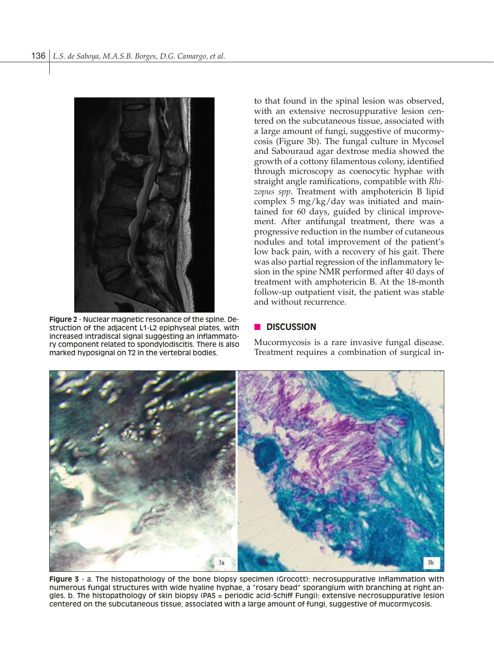

**Figure 2** - Nuclear magnetic resonance of the spine. Destruction of the adjacent L1-L2 epiphyseal plates, with increased intradiscal signal suggesting an inflammatory component related to spondylodiscitis. There is also marked hyposignal on T2 in the vertebral bodies.

to that found in the spinal lesion was observed, with an extensive necrosuppurative lesion centered on the subcutaneous tissue, associated with a large amount of fungi, suggestive of mucormycosis (Figure 3b). The fungal culture in Mycosel and Sabouraud agar dextrose media showed the growth of a cottony filamentous colony, identified through microscopy as coenocytic hyphae with straight angle ramifications, compatible with *Rhizopus spp*. Treatment with amphotericin B lipid complex 5 mg/kg/day was initiated and maintained for 60 days, guided by clinical improvement. After antifungal treatment, there was a progressive reduction in the number of cutaneous nodules and total improvement of the patient's low back pain, with a recovery of his gait. There was also partial regression of the inflammatory lesion in the spine NMR performed after 40 days of treatment with amphotericin B. At the 18-month follow-up outpatient visit, the patient was stable and without recurrence.

## n **DISCUSSION**

Mucormycosis is a rare invasive fungal disease. Treatment requires a combination of surgical in-



**Figure 3** - a. The histopathology of the bone biopsy specimen (Grocott): necrosuppurative inflammation with numerous fungal structures with wide hyaline hyphae, a "rosary bead" sporangium with branching at right angles. b. The histopathology of skin biopsy (PAS = periodic acid-Schiff Fungi): extensive necrosuppurative lesion centered on the subcutaneous tissue, associated with a large amount of fungi, suggestive of mucormycosis.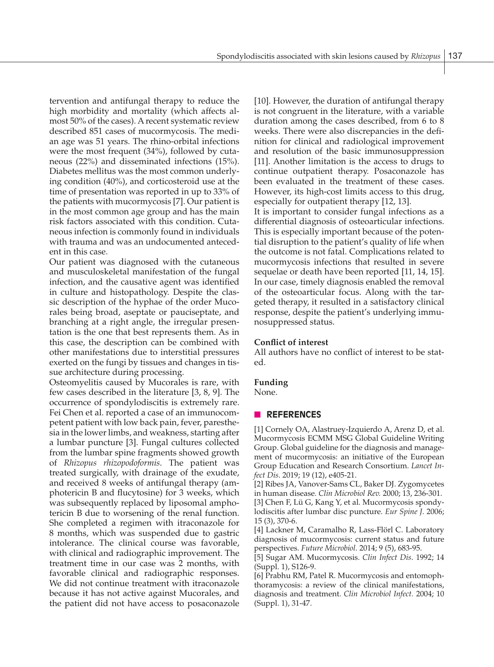tervention and antifungal therapy to reduce the high morbidity and mortality (which affects almost 50% of the cases). A recent systematic review described 851 cases of mucormycosis. The median age was 51 years. The rhino-orbital infections were the most frequent (34%), followed by cutaneous (22%) and disseminated infections (15%). Diabetes mellitus was the most common underlying condition (40%), and corticosteroid use at the time of presentation was reported in up to 33% of the patients with mucormycosis [7]. Our patient is in the most common age group and has the main risk factors associated with this condition. Cutaneous infection is commonly found in individuals with trauma and was an undocumented antecedent in this case.

Our patient was diagnosed with the cutaneous and musculoskeletal manifestation of the fungal infection, and the causative agent was identified in culture and histopathology. Despite the classic description of the hyphae of the order Mucorales being broad, aseptate or pauciseptate, and branching at a right angle, the irregular presentation is the one that best represents them. As in this case, the description can be combined with other manifestations due to interstitial pressures exerted on the fungi by tissues and changes in tissue architecture during processing.

Osteomyelitis caused by Mucorales is rare, with few cases described in the literature [3, 8, 9]. The occurrence of spondylodiscitis is extremely rare. Fei Chen et al. reported a case of an immunocompetent patient with low back pain, fever, paresthesia in the lower limbs, and weakness, starting after a lumbar puncture [3]. Fungal cultures collected from the lumbar spine fragments showed growth of *Rhizopus rhizopodoformis*. The patient was treated surgically, with drainage of the exudate, and received 8 weeks of antifungal therapy (amphotericin B and flucytosine) for 3 weeks, which was subsequently replaced by liposomal amphotericin B due to worsening of the renal function. She completed a regimen with itraconazole for 8 months, which was suspended due to gastric intolerance. The clinical course was favorable, with clinical and radiographic improvement. The treatment time in our case was 2 months, with favorable clinical and radiographic responses. We did not continue treatment with itraconazole because it has not active against Mucorales, and the patient did not have access to posaconazole [10]. However, the duration of antifungal therapy is not congruent in the literature, with a variable duration among the cases described, from 6 to 8 weeks. There were also discrepancies in the definition for clinical and radiological improvement and resolution of the basic immunosuppression [11]. Another limitation is the access to drugs to continue outpatient therapy. Posaconazole has been evaluated in the treatment of these cases. However, its high-cost limits access to this drug, especially for outpatient therapy [12, 13].

It is important to consider fungal infections as a differential diagnosis of osteoarticular infections. This is especially important because of the potential disruption to the patient's quality of life when the outcome is not fatal. Complications related to mucormycosis infections that resulted in severe sequelae or death have been reported [11, 14, 15]. In our case, timely diagnosis enabled the removal of the osteoarticular focus. Along with the targeted therapy, it resulted in a satisfactory clinical response, despite the patient's underlying immunosuppressed status.

#### **Conflict of interest**

All authors have no conflict of interest to be stated.

#### **Funding**

None.

#### n **REFERENCES**

[1] Cornely OA, Alastruey-Izquierdo A, Arenz D, et al. Mucormycosis ECMM MSG Global Guideline Writing Group. Global guideline for the diagnosis and management of mucormycosis: an initiative of the European Group Education and Research Consortium. *Lancet Infect Dis*. 2019; 19 (12), e405-21.

[2] Ribes JA, Vanover-Sams CL, Baker DJ. Zygomycetes in human disease*. Clin Microbiol Rev.* 2000; 13, 236-301.

[3] Chen F, Lü G, Kang Y, et al. Mucormycosis spondylodiscitis after lumbar disc puncture. *Eur Spine J*. 2006; 15 (3), 370-6.

[4] Lackner M, Caramalho R, Lass-Flörl C. Laboratory diagnosis of mucormycosis: current status and future perspectives. *Future Microbiol*. 2014; 9 (5), 683-95.

[5] Sugar AM. Mucormycosis. *Clin Infect Dis*. 1992; 14 (Suppl. 1), S126-9.

[6] Prabhu RM, Patel R. Mucormycosis and entomophthoramycosis: a review of the clinical manifestations, diagnosis and treatment. *Clin Microbiol Infect.* 2004; 10 (Suppl. 1), 31-47.